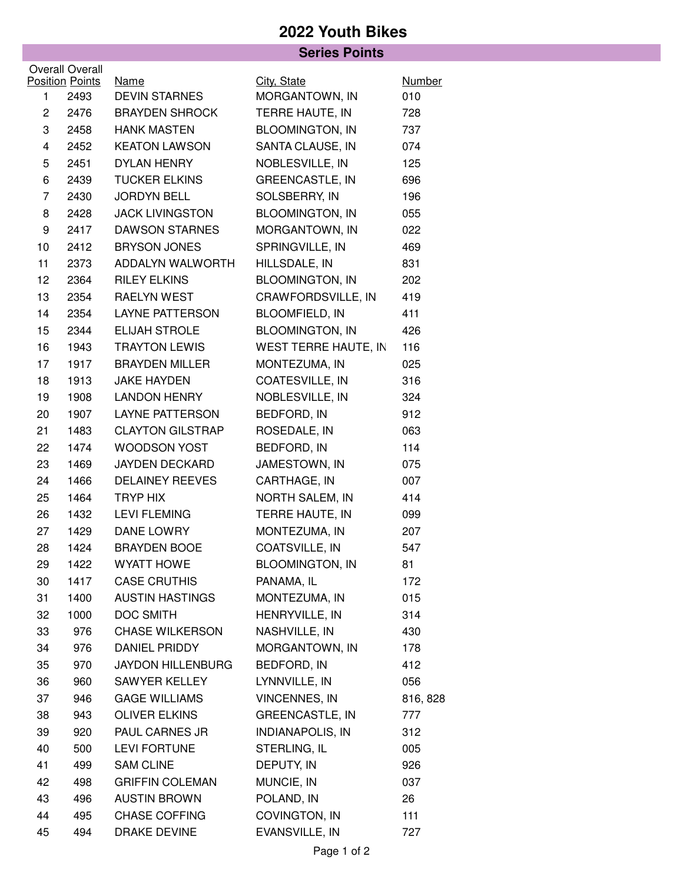## **2022 Youth Bikes**

|                |                        | <b>Series Points</b>                          |                         |               |  |
|----------------|------------------------|-----------------------------------------------|-------------------------|---------------|--|
|                | <b>Overall Overall</b> |                                               |                         |               |  |
|                | <b>Position Points</b> | Name                                          | City, State             | <b>Number</b> |  |
| 1              | 2493                   | <b>DEVIN STARNES</b><br><b>BRAYDEN SHROCK</b> | MORGANTOWN, IN          | 010           |  |
| $\mathbf{2}$   | 2476                   |                                               | TERRE HAUTE, IN         | 728           |  |
| 3              | 2458                   | <b>HANK MASTEN</b>                            | <b>BLOOMINGTON, IN</b>  | 737           |  |
| 4              | 2452                   | <b>KEATON LAWSON</b>                          | SANTA CLAUSE, IN        | 074           |  |
| 5              | 2451                   | <b>DYLAN HENRY</b>                            | NOBLESVILLE, IN         | 125           |  |
| 6              | 2439                   | <b>TUCKER ELKINS</b>                          | <b>GREENCASTLE, IN</b>  | 696           |  |
| $\overline{7}$ | 2430                   | <b>JORDYN BELL</b>                            | SOLSBERRY, IN           | 196           |  |
| 8              | 2428                   | <b>JACK LIVINGSTON</b>                        | <b>BLOOMINGTON, IN</b>  | 055           |  |
| 9              | 2417                   | <b>DAWSON STARNES</b>                         | MORGANTOWN, IN          | 022           |  |
| 10             | 2412                   | <b>BRYSON JONES</b>                           | SPRINGVILLE, IN         | 469           |  |
| 11             | 2373                   | ADDALYN WALWORTH                              | HILLSDALE, IN           | 831           |  |
| 12             | 2364                   | <b>RILEY ELKINS</b>                           | <b>BLOOMINGTON, IN</b>  | 202           |  |
| 13             | 2354                   | RAELYN WEST                                   | CRAWFORDSVILLE, IN      | 419           |  |
| 14             | 2354                   | <b>LAYNE PATTERSON</b>                        | <b>BLOOMFIELD, IN</b>   | 411           |  |
| 15             | 2344                   | ELIJAH STROLE                                 | <b>BLOOMINGTON, IN</b>  | 426           |  |
| 16             | 1943                   | <b>TRAYTON LEWIS</b>                          | WEST TERRE HAUTE, IN    | 116           |  |
| 17             | 1917                   | <b>BRAYDEN MILLER</b>                         | MONTEZUMA, IN           | 025           |  |
| 18             | 1913                   | <b>JAKE HAYDEN</b>                            | COATESVILLE, IN         | 316           |  |
| 19             | 1908                   | <b>LANDON HENRY</b>                           | NOBLESVILLE, IN         | 324           |  |
| 20             | 1907                   | <b>LAYNE PATTERSON</b>                        | BEDFORD, IN             | 912           |  |
| 21             | 1483                   | <b>CLAYTON GILSTRAP</b>                       | ROSEDALE, IN            | 063           |  |
| 22             | 1474                   | <b>WOODSON YOST</b>                           | BEDFORD, IN             | 114           |  |
| 23             | 1469                   | <b>JAYDEN DECKARD</b>                         | JAMESTOWN, IN           | 075           |  |
| 24             | 1466                   | <b>DELAINEY REEVES</b>                        | CARTHAGE, IN            | 007           |  |
| 25             | 1464                   | TRYP HIX                                      | NORTH SALEM, IN         | 414           |  |
| 26             | 1432                   | <b>LEVI FLEMING</b>                           | TERRE HAUTE, IN         | 099           |  |
| 27             | 1429                   | <b>DANE LOWRY</b>                             | MONTEZUMA, IN           | 207           |  |
| 28             | 1424                   | <b>BRAYDEN BOOE</b>                           | COATSVILLE, IN          | 547           |  |
| 29             | 1422                   | <b>WYATT HOWE</b>                             | <b>BLOOMINGTON, IN</b>  | 81            |  |
| 30             | 1417                   | <b>CASE CRUTHIS</b>                           | PANAMA, IL              | 172           |  |
| 31             | 1400                   | <b>AUSTIN HASTINGS</b>                        | MONTEZUMA, IN           | 015           |  |
| 32             | 1000                   | <b>DOC SMITH</b>                              | HENRYVILLE, IN          | 314           |  |
| 33             | 976                    | <b>CHASE WILKERSON</b>                        | NASHVILLE, IN           | 430           |  |
| 34             | 976                    | DANIEL PRIDDY                                 | MORGANTOWN, IN          | 178           |  |
| 35             | 970                    | <b>JAYDON HILLENBURG</b>                      | BEDFORD, IN             | 412           |  |
| 36             | 960                    | SAWYER KELLEY                                 | LYNNVILLE, IN           | 056           |  |
| 37             | 946                    | <b>GAGE WILLIAMS</b>                          | <b>VINCENNES, IN</b>    | 816, 828      |  |
| 38             | 943                    | <b>OLIVER ELKINS</b>                          | <b>GREENCASTLE, IN</b>  | 777           |  |
| 39             | 920                    | PAUL CARNES JR                                | <b>INDIANAPOLIS, IN</b> | 312           |  |
| 40             | 500                    | <b>LEVI FORTUNE</b>                           | STERLING, IL            | 005           |  |
| 41             | 499                    | <b>SAM CLINE</b>                              | DEPUTY, IN              | 926           |  |
| 42             | 498                    | <b>GRIFFIN COLEMAN</b>                        | MUNCIE, IN              | 037           |  |
| 43             | 496                    | <b>AUSTIN BROWN</b>                           | POLAND, IN              | 26            |  |
| 44             | 495                    | <b>CHASE COFFING</b>                          | COVINGTON, IN           | 111           |  |
| 45             | 494                    | DRAKE DEVINE                                  | EVANSVILLE, IN          | 727           |  |